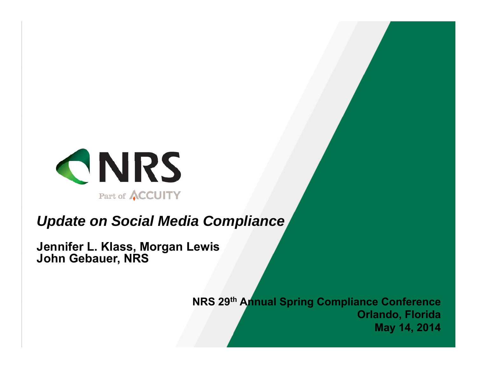

### *Update on Social Media Compliance*

**JenniferL. <sup>K</sup> la ss, <sup>M</sup> org <sup>a</sup> <sup>n</sup> Lew is Joh <sup>n</sup> <sup>G</sup> eba uer, <sup>N</sup> RS**

**N RS <sup>29</sup> th <sup>A</sup> nnua lSpring <sup>C</sup> om plia nceC onference O rla ndo, <sup>F</sup> lorida M <sup>a</sup> y14, <sup>2014</sup>**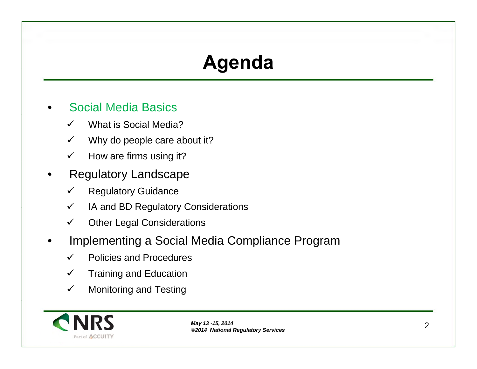## **A g enda**

- •**• Social Media Basics** 
	- What is Social Media? $\checkmark$
	- Why do people care about it?  $\checkmark$
	- $\checkmark$ How are firms using it?
- •• Regulatory Landscape
	- Regulatory Guidance $\checkmark$
	- $\checkmark$ IA and BD Regulatory Considerations
	- $\checkmark$ Other Legal Considerations
- •**• Implementing a Social Media Compliance Program** 
	- $\checkmark$ Policies and Procedures
	- Training and Education  $\checkmark$
	- $\checkmark$ Monitoring and Testing

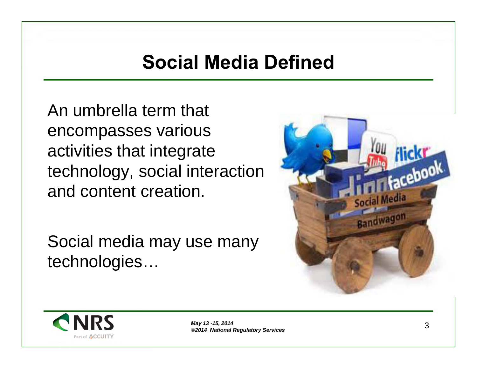## **Socia lM edia Defined**

An umbrella term that<br>creampasses verious encompasses various activities that integrate technology, social interactionand content creation.

Social media may use many technologies…



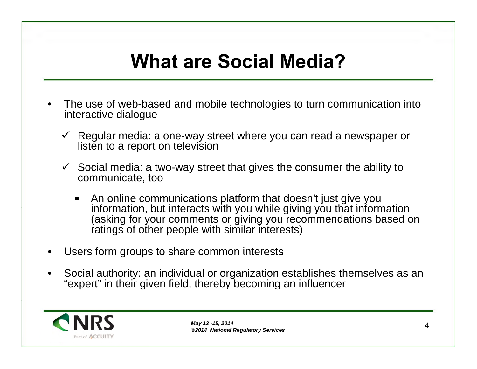# **What are Social Media?**

- •• The use of web-based and mobile technologies to turn communication into<br>interactive dialogue interactive dialogue
	- Regular media: a one-way street where you can read a newspaper or<br>listen to a report on television listen to <sup>a</sup> report on television
	- Social media: <sup>a</sup> two-way street that gives the consumer the ability to communicate, too
		- An online communications platform that doesn't just give you<br>information, but interacts with you while giving you that inforr information, but interacts with you while giving you that information (asking for your comments or giving you recommendations based on<br>retings of other peeple with eimiler interecte) ratings of other people with similar interests)
- •Users form groups to share common interests
- •• Social authority: an individual or organization establishes themselves as an <br>"expert" in their given field, thereby becoming an influencer. "expert" in their given field, thereby becoming an influencer

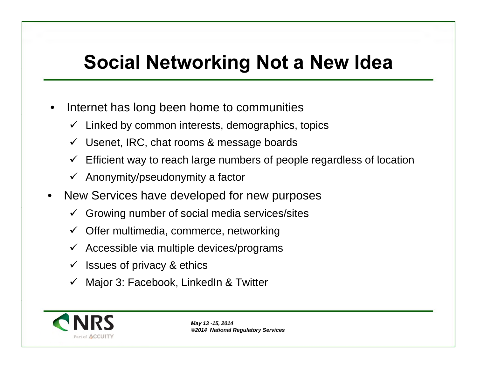### **Socia lN etw orking <sup>N</sup> ota <sup>N</sup> ew Idea**

- • $\bullet$  Internet has long been home to communities
	- Linked by common interests, demographics, topics
	- Usenet, IRC, chat rooms & message boards
	- Efficient way to reach large numbers of people regardless of location
	- Anonymity/pseudonymity <sup>a</sup> factor
- •• New Services have developed for new purposes
	- Growing number of social media services/sites
	- Offer multimedia, commerce, networking
	- Accessible via multiple devices/programs
	- Issues of privacy & ethics
	- Major 3: Facebook, LinkedIn & Twitter

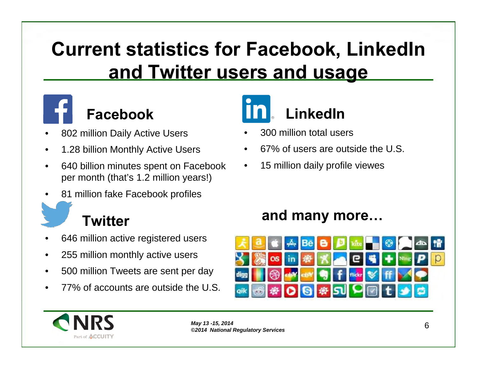## **Current statistics for Facebook, LinkedIn a ndTw itterusersa ndusa g <sup>e</sup>**



### **F <sup>a</sup> cebook**

- •<sup>802</sup> million Daily Active Users
- •1.28 billion Monthly Active Users
- •• 640 billion minutes spent on Facebook per month (that's 1.2 million years!)
- •• 81 million fake Facebook profiles

#### **Tw itter**

- •<sup>646</sup> million active registered users
- $\bullet$ <sup>255</sup> million monthly active users
- $\bullet$ <sup>500</sup> million Tweets are sent per day
- •77% of accounts are outside the U.S.



- •<sup>300</sup> million total users
- •67% of users are outside the U.S.
- •<sup>15</sup> million daily profile viewes

#### **and many more...**



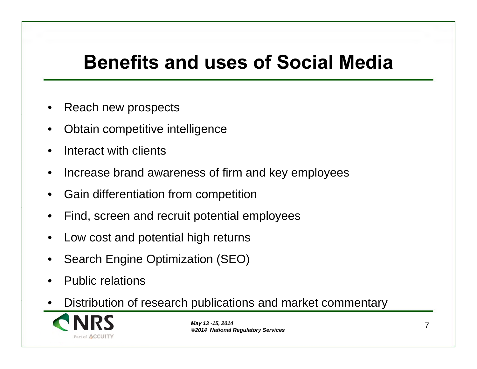# **Benefits and uses of Social Media**

- •• Reach new prospects
- •• Obtain competitive intelligence
- •• Interact with clients
- • $\bullet$  Increase brand awareness of firm and key employees
- •**•** Gain differentiation from competition
- • $\bullet$  Find, screen and recruit potential employees
- •Low cost and potential high returns
- •• Search Engine Optimization (SEO)
- •• Public relations
- Distribution of research publications and market commentary •

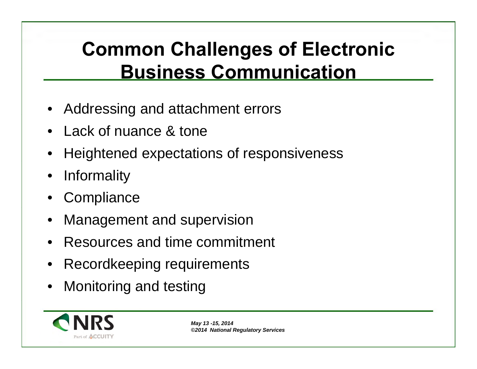## **Common Challenges of Electronic <u>Business Communication</u>**

- Addressing and attachment errors
- Lack of nuance & tone
- •**•** Heightened expectations of responsiveness
- •**Informality**
- •**Compliance**
- •Management and supervision
- •• Resources and time commitment
- Recordkeeping requirements
- •Monitoring and testing

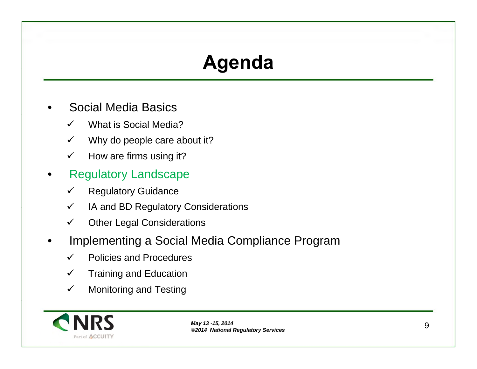## **A g enda**

- •• Social Media Basics
	- What is Social Media?
	- Why do people care about it?  $\checkmark$
	- $\checkmark$ How are firms using it?
- •• Regulatory Landscape
	- Regulatory Guidance $\checkmark$
	- $\checkmark$ IA and BD Regulatory Considerations
	- $\checkmark$ Other Legal Considerations
- •**• Implementing a Social Media Compliance Program** 
	- Policies and Procedures
	- Training and Education  $\checkmark$
	- $\checkmark$ Monitoring and Testing

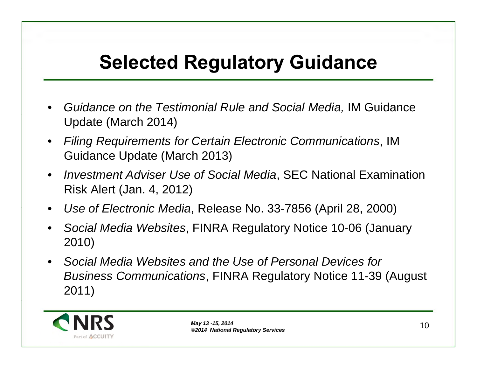### **Selected Regulatory Guidance**

- • *Guidance on the Testimonial Rule and Social Media,* IM Guidance Update (March 2014)
- $\bullet$  *Filing Requirements for Certain Electronic Communications*, IMGuidance Update (March 2013)
- $\bullet$  *Investment Adviser Use of Social Media*, SEC National Examination Risk Alert (Jan. 4, 2012)
- •*Use of Electronic Media*, Release No. 33-7856 (April 28, 2000)
- • *Social Media Websites*, FINRA Regulatory Notice 10-06 (January 2010)
- • *Social Media Websites and the Use of Personal Devices for Business Communications*, FINRA Regulatory Notice 11-39 (August 2011)

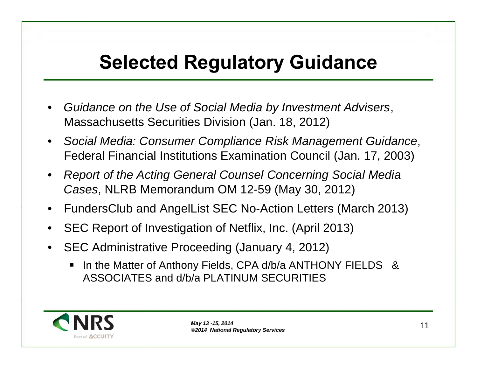### **Selected Regulatory Guidance**

- • *Guidance on the Use of Social Media by Investment Advisers*, Massachusetts Securities Division (Jan. 18, 2012)
- $\bullet$  *Social Media: Consumer Compliance Risk Management Guidance*, Federal Financial Institutions Examination Council (Jan. 17, 2003)
- • *Report of the Acting General Counsel Concerning Social Media Cases*, NLRB Memorandum OM 12-59 (May 30, 2012)
- •FundersClub and AngelList SEC No-Action Letters (March 2013)
- •SEC Report of Investigation of Netflix, Inc. (April 2013)
- • SEC Administrative Proceeding (January 4, 2012)
	- In the Matter of Anthony Fields, CPA d/b/a ANTHONY FIELDS &  $\blacksquare$ ASSOCIATES and d/b/a PLATINUM SECURITIES

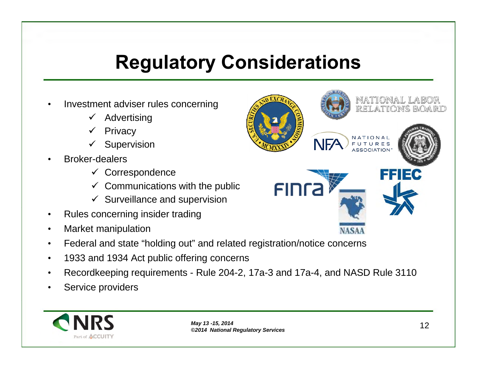# **Regulatory Considerations**

- •• Investment adviser rules concerning
	- $\checkmark$  Advertising
	- **Privacy**  $\checkmark$
	- **Supervision**
- • Broker-dealers
	- $\checkmark$  Correspondence
	- Communications with the public
	- Surveillance and supervision
- •• Rules concerning insider trading
- $\bullet$ Market manipulation
- $\bullet$ Federal and state "holding out" and related registration/notice concerns
- •<sup>1933</sup> and <sup>1934</sup> Act public offering concerns
- •Recordkeeping requirements - Rule 204-2, 17a-3 and 17a-4, and NASD Rule <sup>3110</sup>
- •• Service providers



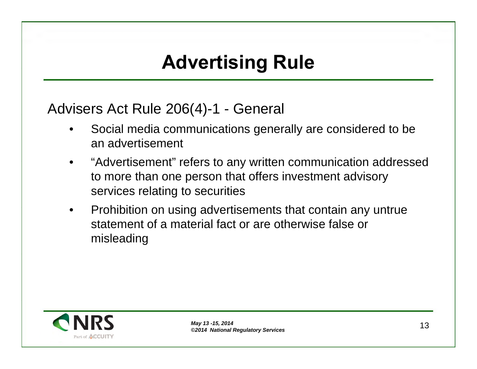## **A dv ertising Rule**

### Advisers Act Rule 206(4)-1 - General

- • Social media communications generally are considered to be an advertisement
- • "Advertisement" refers to any written communication addressed to more than one person that offers investment advisory services relating to securities
- •• Prohibition on using advertisements that contain any untrue statement of <sup>a</sup> material fact or are otherwise false or misleading

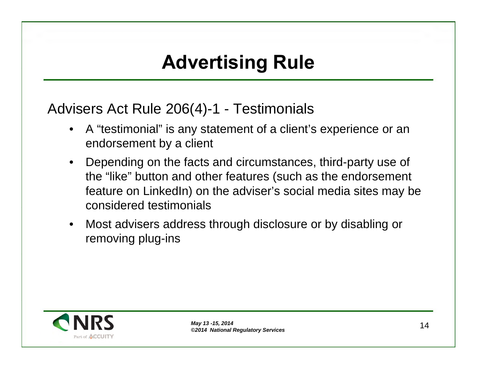## **A dv ertising Rule**

Advisers Act Rule 206(4)-1 - Testimonials

- • <sup>A</sup> "testimonial" is any statement of <sup>a</sup> client's experience or an endorsement by <sup>a</sup> client
- •• Depending on the facts and circumstances, third-party use of the "like" button and other features (such as the endorsement feature on LinkedIn) on the adviser's social media sites may be considered testimonials
- • Most advisers address through disclosure or by disabling or removing plug-ins

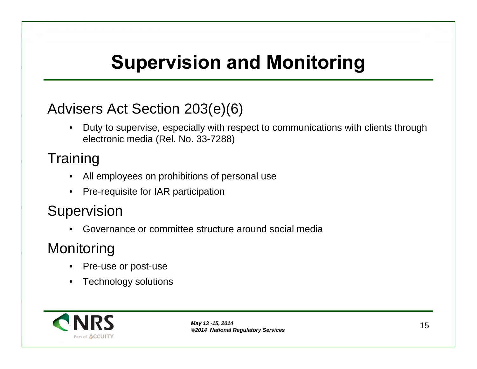# **Supervision and Monitoring**

### Advisers Act Section 203(e)(6)

 $\bullet$ • Duty to supervise, especially with respect to communications with clients through electronic media (Rel. No. 33-7288)

#### **Training**

- •All employees on prohibitions of personal use
- • $\bullet$  Pre-requisite for IAR participation

#### **Supervision**

 Governance or committee structure around social media •

#### **Monitoring**

- •• Pre-use or post-use
- •Technology solutions

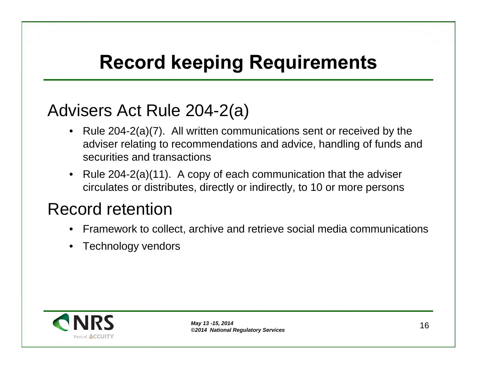# **Record keeping Requirements**

### Advisers Act Rule 204-2(a)

- Rule 204-2(a)(7). All written communications sent or received by the adviser relating to recommendations and advice, handling of funds and securities and transactions
- Rule 204-2(a)(11). A copy of each communication that the adviser circulates or distributes, directly or indirectly, to <sup>10</sup> or more persons

## Record retention

- •Framework to collect, archive and retrieve social media communications
- •Technology vendors

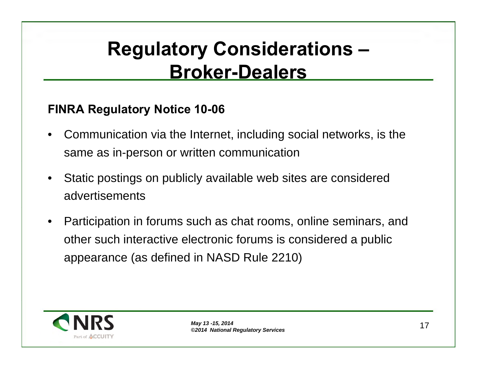### **Regulatory Considerations – B roker-Dea lers**

#### **F IN RA Reg ula toryN otice10-06**

- • Communication via the Internet, including social networks, is the same as in-person or written communication
- • Static postings on publicly available web sites are considered advertisements
- • Participation in forums such as chat rooms, online seminars, and other such interactive electronic forums is considered <sup>a</sup> public appearance (as defined in NASD Rule 2210)

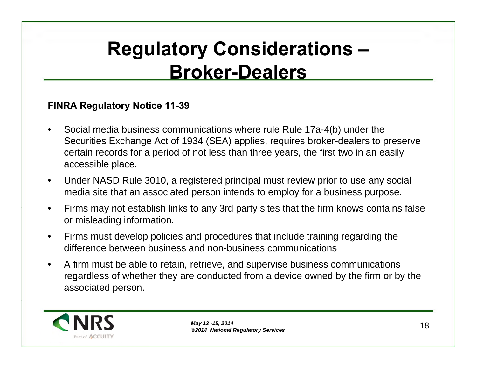### **Regulatory Considerations – B roker-Dea lers**

#### **F IN RA Reg ula toryN otice11-39**

- •• Social media business communications where rule Rule 17a-4(b) under the Securities Exchange Act of <sup>1934</sup> (SEA) applies, requires broker-dealers to preserve certain records for <sup>a</sup> period of not less than three years, the first two in an easily accessible place.
- $\bullet$ • Under NASD Rule 3010, a registered principal must review prior to use any social<br>mandia site that an accessited names intends to exall what a hydinese numerous media site that an associated person intends to employ for <sup>a</sup> business purpose.
- $\bullet$ • Firms may not establish links to any 3rd party sites that the firm knows contains false<br>examicleoding information or misleading information.
- $\bullet$  Firms must develop policies and procedures that include training regarding the difference between business and non-business communications
- $\bullet$ • A firm must be able to retain, retrieve, and supervise business communications<br>Federalises of whather they are conducted from a device ewned by the firm at h regardless of whether they are conducted from a device owned by the firm or by the<br>eseccioted person associated person.

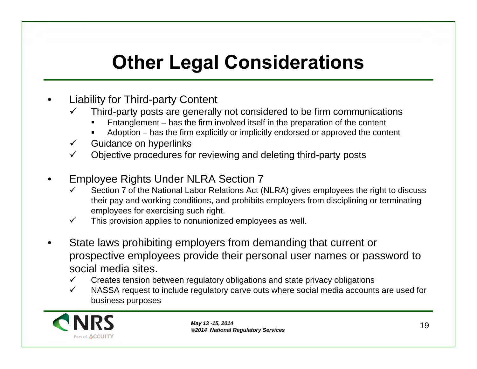# **Other Legal Considerations**

- •• Liability for Third-party Content
	- Third-party posts are generally not considered to be firm communications<br>■ Entanglement has the firm involved itself in the preparation of the content
		- Entanglement has the firm involved itself in the preparation of the content
		- Adoption has the firm explicitly or implicitly endorsed or approved the content<br>dange are bunarlialed
	- Guidance on hyperlinks
	- Objective procedures for reviewing and deleting third-party posts
- • Employee Rights Under NLRA Section <sup>7</sup>
	- Section <sup>7</sup> of the National Labor Relations Act (NLRA) gives employees the right to discuss their pay and working conditions, and prohibits employers from disciplining or terminating<br>employees for exercising such right employees for exercising such right.
	- $\checkmark$ This provision applies to nonunionized employees as well.
- •• State laws prohibiting employers from demanding that current or<br>connective employees provide their personal user person or per prospective employees provide their personal user names or password to social media sites.
	- Creates tension between regulatory obligations and state privacy obligations
	- NASSA request to include regulatory carve outs where social media accounts are used for business purposes

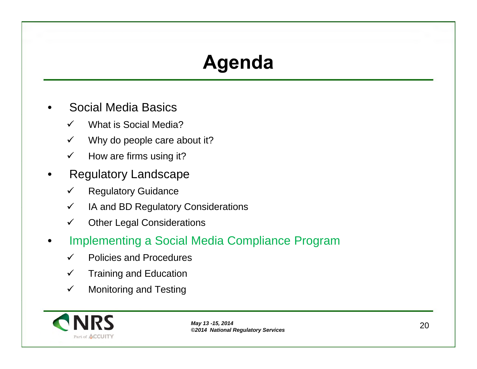## **A g enda**

- •• Social Media Basics
	- What is Social Media? $\checkmark$
	- Why do people care about it?  $\checkmark$
	- $\checkmark$ How are firms using it?
- •• Regulatory Landscape
	- Regulatory Guidance $\checkmark$
	- $\checkmark$ IA and BD Regulatory Considerations
	- $\checkmark$ Other Legal Considerations
- •**• Implementing a Social Media Compliance Program** 
	- $\checkmark$ Policies and Procedures
	- Training and Education  $\checkmark$
	- $\checkmark$ Monitoring and Testing

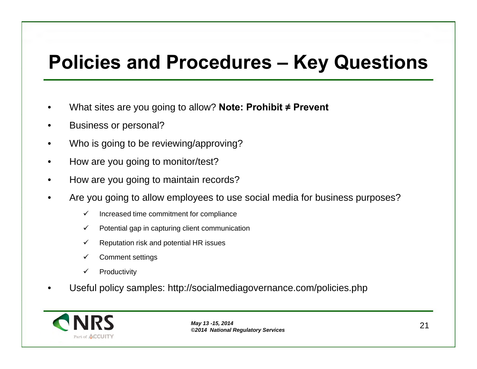# **P oliciesa ndP rocedures <sup>K</sup> eyQ uestions**

- •● What sites are you going to allow? **Note: Prohibit ≠ Prevent**
- •• Business or personal?
- •Who is going to be reviewing/approving?
- $\bullet$ • How are you going to monitor/test?
- •• How are you going to maintain records?
- • Are you going to allow employees to use social media for business purposes?
	- $\checkmark$ Increased time commitment for compliance
	- $\checkmark$ Potential gap in capturing client communication
	- $\checkmark$ Reputation risk and potential HR issues
	- $\checkmark$ Comment settings
	- **Productivity**  $\checkmark$
- •Useful policy samples: http://socialmediagovernance.com/policies.php

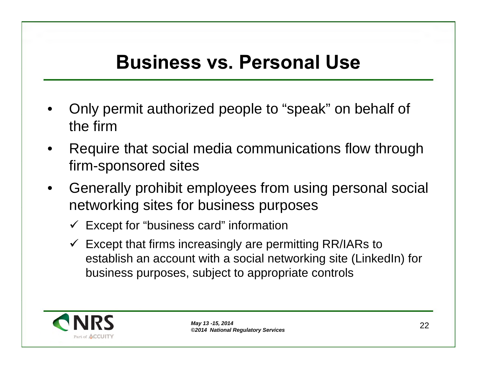## **Business vs. Personal Use**

- •• Only permit authorized people to "speak" on behalf of the firm
- Require that social media communications flow through •firm-sponsored sites
- •• Generally prohibit employees from using personal social<br>networking sites for business purposes networking sites for business purposes
	- Except for "business card" information
	- Except that firms increasingly are permitting RR/IARs to establish an account with <sup>a</sup> social networking site (LinkedIn) for business purposes, subject to appropriate controls

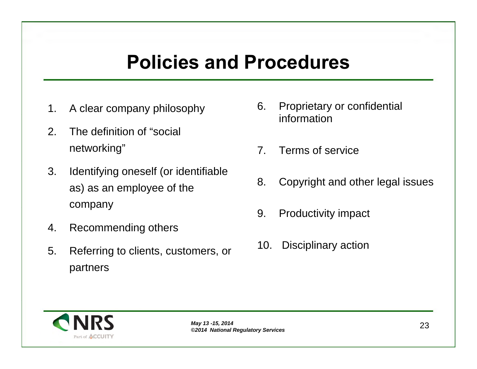## **Policies and Procedures**

- 1.
- 2.. The definition of "social networking"
- 3.. Identifying oneself (or identifiable as) as an employee of the company
- 4.Recommending others
- 5.Referring to clients, customers, or<br>partners
- A clear company philosophy and all the Proprietary or confidential<br>information iinformation
	- 7.. Terms of service
	- 8.Copyright and other legal issues
	- 9.. Productivity impact
	- 10.Disciplinary action

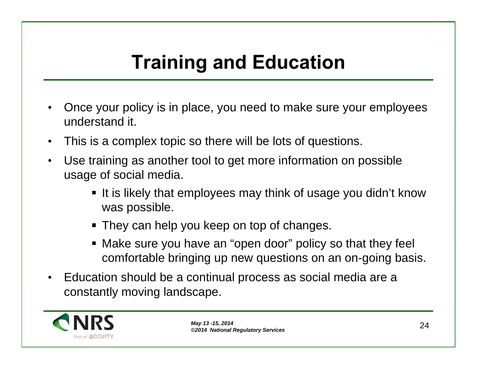## **Tra ining <sup>a</sup> ndEduca tion**

- • Once your policy is in place, you need to make sure your employees understand it.
- $\bullet$ This is <sup>a</sup> complex topic so there will be lots of questions.
- $\bullet$  Use training as another tool to get more information on possible usage of social media.
	- It is likely that employees may think of usage you didn't knowwas possible.
	- They can help you keep on top of changes.
	- Make sure you have an "open door" policy so that they feel  $\blacksquare$ comfortable bringing up new questions on an on-going basis.
- • Education should be <sup>a</sup> continual process as social media are <sup>a</sup> constantly moving landscape.

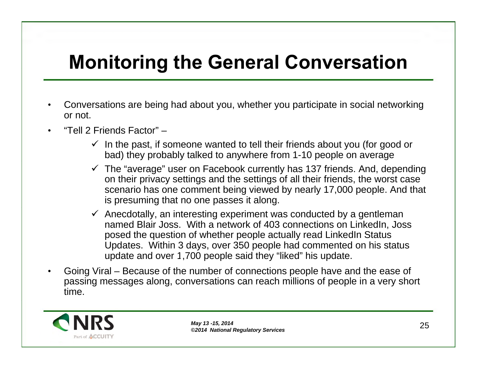# **Monitoring the General Conversation**

- • Conversations are being had about you, whether you participate in social networking or not.
- •"Tell 2 Friends Factor" –
	- In the past, if someone wanted to tell their friends about you (for good or bad) they probably talked to anywhere from 1-10 people on average
	- The "average" user on Facebook currently has <sup>137</sup> friends. And, depending on their privacy settings and the settings of all their friends, the worst case scenario has one comment being viewed by nearly 17,000 people. And that is presuming that no one passes it along.
	- Anecdotally, an interesting experiment was conducted by <sup>a</sup> gentleman named Blair Joss. With <sup>a</sup> network of <sup>403</sup> connections on LinkedIn, Joss posed the question of whether people actually read LinkedIn Status Updates. Within <sup>3</sup> days, over <sup>350</sup> people had commented on his status update and over 1,700 people said they "liked" his update.
- •• Going Viral – Because of the number of connections people have and the ease of passing messages along, conversations can reach millions of people in <sup>a</sup> very short time.